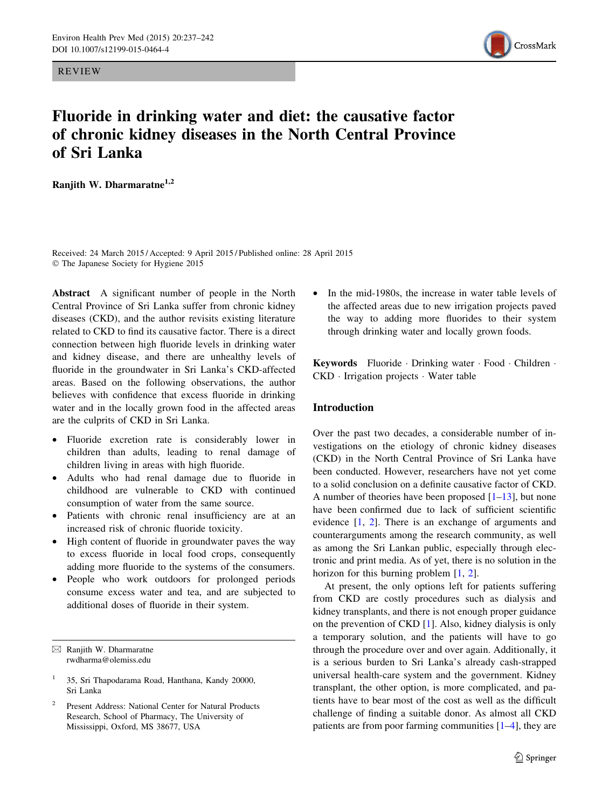REVIEW



# Fluoride in drinking water and diet: the causative factor of chronic kidney diseases in the North Central Province of Sri Lanka

Ranjith W. Dharmaratne<sup>1,2</sup>

Received: 24 March 2015 / Accepted: 9 April 2015 / Published online: 28 April 2015 - The Japanese Society for Hygiene 2015

Abstract A significant number of people in the North Central Province of Sri Lanka suffer from chronic kidney diseases (CKD), and the author revisits existing literature related to CKD to find its causative factor. There is a direct connection between high fluoride levels in drinking water and kidney disease, and there are unhealthy levels of fluoride in the groundwater in Sri Lanka's CKD-affected areas. Based on the following observations, the author believes with confidence that excess fluoride in drinking water and in the locally grown food in the affected areas are the culprits of CKD in Sri Lanka.

- Fluoride excretion rate is considerably lower in children than adults, leading to renal damage of children living in areas with high fluoride.
- Adults who had renal damage due to fluoride in childhood are vulnerable to CKD with continued consumption of water from the same source.
- Patients with chronic renal insufficiency are at an increased risk of chronic fluoride toxicity.
- High content of fluoride in groundwater paves the way to excess fluoride in local food crops, consequently adding more fluoride to the systems of the consumers.
- People who work outdoors for prolonged periods consume excess water and tea, and are subjected to additional doses of fluoride in their system.

In the mid-1980s, the increase in water table levels of the affected areas due to new irrigation projects paved the way to adding more fluorides to their system through drinking water and locally grown foods.

Keywords Fluoride · Drinking water · Food · Children · CKD - Irrigation projects - Water table

# Introduction

Over the past two decades, a considerable number of investigations on the etiology of chronic kidney diseases (CKD) in the North Central Province of Sri Lanka have been conducted. However, researchers have not yet come to a solid conclusion on a definite causative factor of CKD. A number of theories have been proposed  $[1-13]$ , but none have been confirmed due to lack of sufficient scientific evidence [\[1](#page-4-0), [2](#page-4-0)]. There is an exchange of arguments and counterarguments among the research community, as well as among the Sri Lankan public, especially through electronic and print media. As of yet, there is no solution in the horizon for this burning problem [\[1](#page-4-0), [2](#page-4-0)].

At present, the only options left for patients suffering from CKD are costly procedures such as dialysis and kidney transplants, and there is not enough proper guidance on the prevention of CKD [[1\]](#page-4-0). Also, kidney dialysis is only a temporary solution, and the patients will have to go through the procedure over and over again. Additionally, it is a serious burden to Sri Lanka's already cash-strapped universal health-care system and the government. Kidney transplant, the other option, is more complicated, and patients have to bear most of the cost as well as the difficult challenge of finding a suitable donor. As almost all CKD patients are from poor farming communities [\[1–4\]](#page-4-0), they are

 $\boxtimes$  Ranjith W. Dharmaratne rwdharma@olemiss.edu

<sup>1</sup> 35, Sri Thapodarama Road, Hanthana, Kandy 20000, Sri Lanka

Present Address: National Center for Natural Products Research, School of Pharmacy, The University of Mississippi, Oxford, MS 38677, USA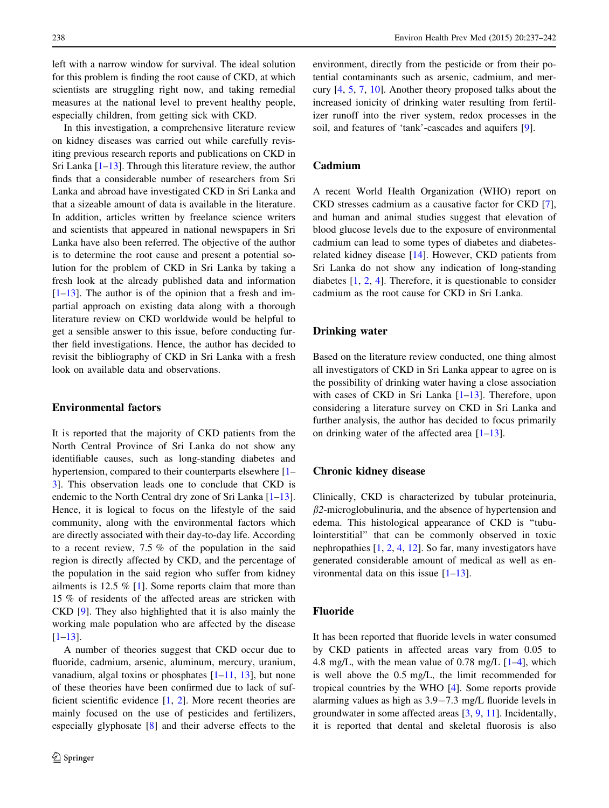left with a narrow window for survival. The ideal solution for this problem is finding the root cause of CKD, at which scientists are struggling right now, and taking remedial measures at the national level to prevent healthy people, especially children, from getting sick with CKD.

In this investigation, a comprehensive literature review on kidney diseases was carried out while carefully revisiting previous research reports and publications on CKD in Sri Lanka  $[1-13]$ . Through this literature review, the author finds that a considerable number of researchers from Sri Lanka and abroad have investigated CKD in Sri Lanka and that a sizeable amount of data is available in the literature. In addition, articles written by freelance science writers and scientists that appeared in national newspapers in Sri Lanka have also been referred. The objective of the author is to determine the root cause and present a potential solution for the problem of CKD in Sri Lanka by taking a fresh look at the already published data and information  $[1-13]$ . The author is of the opinion that a fresh and impartial approach on existing data along with a thorough literature review on CKD worldwide would be helpful to get a sensible answer to this issue, before conducting further field investigations. Hence, the author has decided to revisit the bibliography of CKD in Sri Lanka with a fresh look on available data and observations.

# Environmental factors

It is reported that the majority of CKD patients from the North Central Province of Sri Lanka do not show any identifiable causes, such as long-standing diabetes and hypertension, compared to their counterparts elsewhere [\[1](#page-4-0)– [3](#page-4-0)]. This observation leads one to conclude that CKD is endemic to the North Central dry zone of Sri Lanka [\[1–13](#page-4-0)]. Hence, it is logical to focus on the lifestyle of the said community, along with the environmental factors which are directly associated with their day-to-day life. According to a recent review, 7.5 % of the population in the said region is directly affected by CKD, and the percentage of the population in the said region who suffer from kidney ailments is 12.5 % [[1\]](#page-4-0). Some reports claim that more than 15 % of residents of the affected areas are stricken with CKD [\[9](#page-4-0)]. They also highlighted that it is also mainly the working male population who are affected by the disease [\[1–13](#page-4-0)].

A number of theories suggest that CKD occur due to fluoride, cadmium, arsenic, aluminum, mercury, uranium, vanadium, algal toxins or phosphates  $[1-11, 13]$  $[1-11, 13]$  $[1-11, 13]$  $[1-11, 13]$  $[1-11, 13]$ , but none of these theories have been confirmed due to lack of sufficient scientific evidence [\[1](#page-4-0), [2](#page-4-0)]. More recent theories are mainly focused on the use of pesticides and fertilizers, especially glyphosate [\[8](#page-4-0)] and their adverse effects to the environment, directly from the pesticide or from their potential contaminants such as arsenic, cadmium, and mercury [\[4](#page-4-0), [5,](#page-4-0) [7](#page-4-0), [10\]](#page-4-0). Another theory proposed talks about the increased ionicity of drinking water resulting from fertilizer runoff into the river system, redox processes in the soil, and features of 'tank'-cascades and aquifers [\[9](#page-4-0)].

#### Cadmium

A recent World Health Organization (WHO) report on CKD stresses cadmium as a causative factor for CKD [\[7](#page-4-0)], and human and animal studies suggest that elevation of blood glucose levels due to the exposure of environmental cadmium can lead to some types of diabetes and diabetesrelated kidney disease [[14\]](#page-4-0). However, CKD patients from Sri Lanka do not show any indication of long-standing diabetes [[1,](#page-4-0) [2](#page-4-0), [4](#page-4-0)]. Therefore, it is questionable to consider cadmium as the root cause for CKD in Sri Lanka.

#### Drinking water

Based on the literature review conducted, one thing almost all investigators of CKD in Sri Lanka appear to agree on is the possibility of drinking water having a close association with cases of CKD in Sri Lanka  $[1-13]$ . Therefore, upon considering a literature survey on CKD in Sri Lanka and further analysis, the author has decided to focus primarily on drinking water of the affected area  $[1-13]$ .

#### Chronic kidney disease

Clinically, CKD is characterized by tubular proteinuria,  $\beta$ 2-microglobulinuria, and the absence of hypertension and edema. This histological appearance of CKD is ''tubulointerstitial'' that can be commonly observed in toxic nephropathies [\[1](#page-4-0), [2](#page-4-0), [4,](#page-4-0) [12\]](#page-4-0). So far, many investigators have generated considerable amount of medical as well as environmental data on this issue  $[1-13]$ .

#### Fluoride

It has been reported that fluoride levels in water consumed by CKD patients in affected areas vary from 0.05 to 4.8 mg/L, with the mean value of 0.78 mg/L  $[1-4]$ , which is well above the 0.5 mg/L, the limit recommended for tropical countries by the WHO [\[4](#page-4-0)]. Some reports provide alarming values as high as 3.9-7.3 mg/L fluoride levels in groundwater in some affected areas [\[3](#page-4-0), [9](#page-4-0), [11](#page-4-0)]. Incidentally, it is reported that dental and skeletal fluorosis is also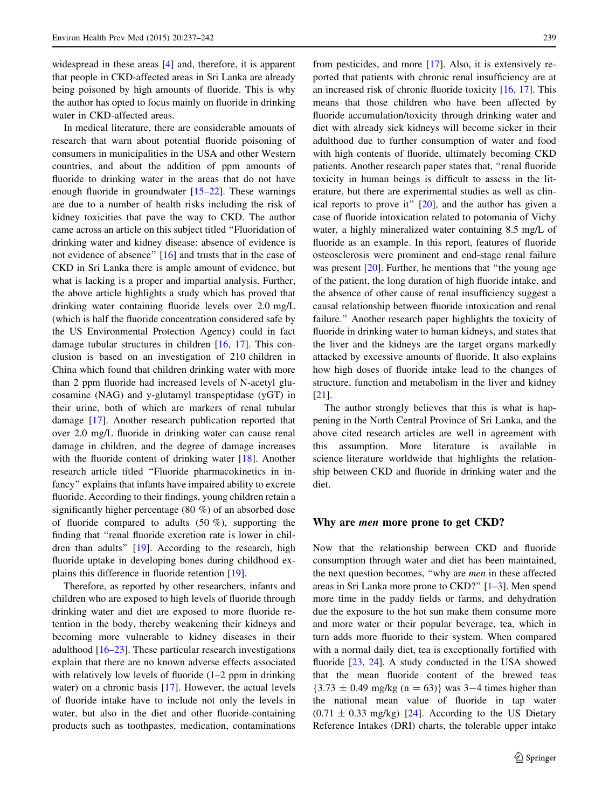widespread in these areas [[4\]](#page-4-0) and, therefore, it is apparent that people in CKD-affected areas in Sri Lanka are already being poisoned by high amounts of fluoride. This is why the author has opted to focus mainly on fluoride in drinking water in CKD-affected areas.

In medical literature, there are considerable amounts of research that warn about potential fluoride poisoning of consumers in municipalities in the USA and other Western countries, and about the addition of ppm amounts of fluoride to drinking water in the areas that do not have enough fluoride in groundwater  $[15-22]$  $[15-22]$ . These warnings are due to a number of health risks including the risk of kidney toxicities that pave the way to CKD. The author came across an article on this subject titled ''Fluoridation of drinking water and kidney disease: absence of evidence is not evidence of absence'' [\[16](#page-4-0)] and trusts that in the case of CKD in Sri Lanka there is ample amount of evidence, but what is lacking is a proper and impartial analysis. Further, the above article highlights a study which has proved that drinking water containing fluoride levels over 2.0 mg/L (which is half the fluoride concentration considered safe by the US Environmental Protection Agency) could in fact damage tubular structures in children [\[16](#page-4-0), [17\]](#page-5-0). This conclusion is based on an investigation of 210 children in China which found that children drinking water with more than 2 ppm fluoride had increased levels of N-acetyl glucosamine (NAG) and y-glutamyl transpeptidase (yGT) in their urine, both of which are markers of renal tubular damage [\[17](#page-5-0)]. Another research publication reported that over 2.0 mg/L fluoride in drinking water can cause renal damage in children, and the degree of damage increases with the fluoride content of drinking water [[18\]](#page-5-0). Another research article titled ''Fluoride pharmacokinetics in infancy'' explains that infants have impaired ability to excrete fluoride. According to their findings, young children retain a significantly higher percentage (80 %) of an absorbed dose of fluoride compared to adults (50 %), supporting the finding that ''renal fluoride excretion rate is lower in children than adults'' [\[19](#page-5-0)]. According to the research, high fluoride uptake in developing bones during childhood explains this difference in fluoride retention [[19\]](#page-5-0).

Therefore, as reported by other researchers, infants and children who are exposed to high levels of fluoride through drinking water and diet are exposed to more fluoride retention in the body, thereby weakening their kidneys and becoming more vulnerable to kidney diseases in their adulthood [[16–](#page-4-0)[23\]](#page-5-0). These particular research investigations explain that there are no known adverse effects associated with relatively low levels of fluoride (1–2 ppm in drinking water) on a chronic basis [\[17](#page-5-0)]. However, the actual levels of fluoride intake have to include not only the levels in water, but also in the diet and other fluoride-containing products such as toothpastes, medication, contaminations from pesticides, and more [\[17](#page-5-0)]. Also, it is extensively reported that patients with chronic renal insufficiency are at an increased risk of chronic fluoride toxicity [\[16](#page-4-0), [17\]](#page-5-0). This means that those children who have been affected by fluoride accumulation/toxicity through drinking water and diet with already sick kidneys will become sicker in their adulthood due to further consumption of water and food with high contents of fluoride, ultimately becoming CKD patients. Another research paper states that, ''renal fluoride toxicity in human beings is difficult to assess in the literature, but there are experimental studies as well as clinical reports to prove it'' [[20\]](#page-5-0), and the author has given a case of fluoride intoxication related to potomania of Vichy water, a highly mineralized water containing 8.5 mg/L of fluoride as an example. In this report, features of fluoride osteosclerosis were prominent and end-stage renal failure was present [\[20](#page-5-0)]. Further, he mentions that "the young age of the patient, the long duration of high fluoride intake, and the absence of other cause of renal insufficiency suggest a causal relationship between fluoride intoxication and renal failure.'' Another research paper highlights the toxicity of fluoride in drinking water to human kidneys, and states that the liver and the kidneys are the target organs markedly attacked by excessive amounts of fluoride. It also explains how high doses of fluoride intake lead to the changes of structure, function and metabolism in the liver and kidney [\[21](#page-5-0)].

The author strongly believes that this is what is happening in the North Central Province of Sri Lanka, and the above cited research articles are well in agreement with this assumption. More literature is available in science literature worldwide that highlights the relationship between CKD and fluoride in drinking water and the diet.

#### Why are men more prone to get CKD?

Now that the relationship between CKD and fluoride consumption through water and diet has been maintained, the next question becomes, "why are *men* in these affected areas in Sri Lanka more prone to CKD?'' [[1–3\]](#page-4-0). Men spend more time in the paddy fields or farms, and dehydration due the exposure to the hot sun make them consume more and more water or their popular beverage, tea, which in turn adds more fluoride to their system. When compared with a normal daily diet, tea is exceptionally fortified with fluoride [\[23](#page-5-0), [24\]](#page-5-0). A study conducted in the USA showed that the mean fluoride content of the brewed teas  ${3.73 \pm 0.49 \text{ mg/kg} \ (n = 63)}$  was 3-4 times higher than the national mean value of fluoride in tap water  $(0.71 \pm 0.33 \text{ mg/kg})$  [\[24](#page-5-0)]. According to the US Dietary Reference Intakes (DRI) charts, the tolerable upper intake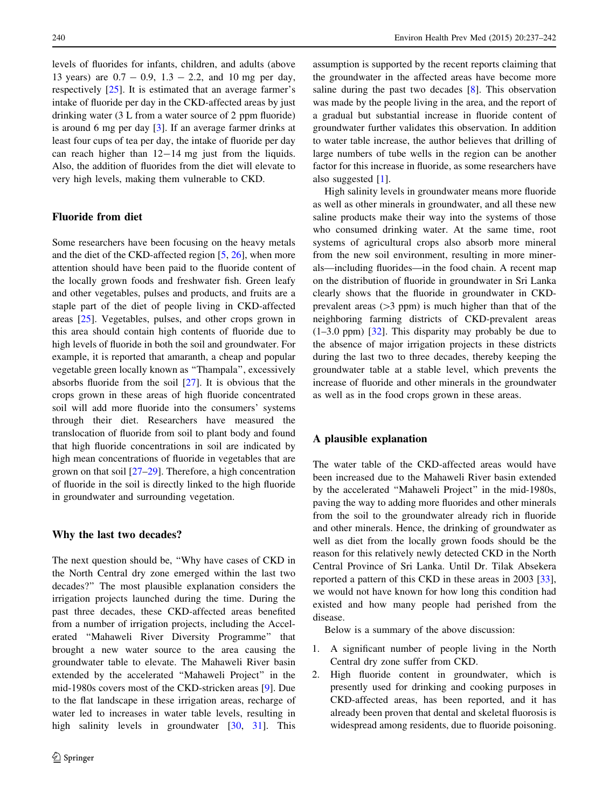levels of fluorides for infants, children, and adults (above 13 years) are  $0.7 - 0.9$ ,  $1.3 - 2.2$ , and 10 mg per day, respectively [[25\]](#page-5-0). It is estimated that an average farmer's intake of fluoride per day in the CKD-affected areas by just drinking water (3 L from a water source of 2 ppm fluoride) is around 6 mg per day [[3\]](#page-4-0). If an average farmer drinks at least four cups of tea per day, the intake of fluoride per day can reach higher than  $12-14$  mg just from the liquids. Also, the addition of fluorides from the diet will elevate to very high levels, making them vulnerable to CKD.

### Fluoride from diet

Some researchers have been focusing on the heavy metals and the diet of the CKD-affected region [\[5](#page-4-0), [26](#page-5-0)], when more attention should have been paid to the fluoride content of the locally grown foods and freshwater fish. Green leafy and other vegetables, pulses and products, and fruits are a staple part of the diet of people living in CKD-affected areas [\[25](#page-5-0)]. Vegetables, pulses, and other crops grown in this area should contain high contents of fluoride due to high levels of fluoride in both the soil and groundwater. For example, it is reported that amaranth, a cheap and popular vegetable green locally known as ''Thampala'', excessively absorbs fluoride from the soil [[27\]](#page-5-0). It is obvious that the crops grown in these areas of high fluoride concentrated soil will add more fluoride into the consumers' systems through their diet. Researchers have measured the translocation of fluoride from soil to plant body and found that high fluoride concentrations in soil are indicated by high mean concentrations of fluoride in vegetables that are grown on that soil [\[27–29](#page-5-0)]. Therefore, a high concentration of fluoride in the soil is directly linked to the high fluoride in groundwater and surrounding vegetation.

#### Why the last two decades?

The next question should be, "Why have cases of CKD in the North Central dry zone emerged within the last two decades?'' The most plausible explanation considers the irrigation projects launched during the time. During the past three decades, these CKD-affected areas benefited from a number of irrigation projects, including the Accelerated ''Mahaweli River Diversity Programme'' that brought a new water source to the area causing the groundwater table to elevate. The Mahaweli River basin extended by the accelerated ''Mahaweli Project'' in the mid-1980s covers most of the CKD-stricken areas [[9\]](#page-4-0). Due to the flat landscape in these irrigation areas, recharge of water led to increases in water table levels, resulting in high salinity levels in groundwater [\[30](#page-5-0), [31\]](#page-5-0). This

assumption is supported by the recent reports claiming that the groundwater in the affected areas have become more saline during the past two decades [\[8](#page-4-0)]. This observation was made by the people living in the area, and the report of a gradual but substantial increase in fluoride content of groundwater further validates this observation. In addition to water table increase, the author believes that drilling of large numbers of tube wells in the region can be another factor for this increase in fluoride, as some researchers have also suggested [[1\]](#page-4-0).

High salinity levels in groundwater means more fluoride as well as other minerals in groundwater, and all these new saline products make their way into the systems of those who consumed drinking water. At the same time, root systems of agricultural crops also absorb more mineral from the new soil environment, resulting in more minerals—including fluorides—in the food chain. A recent map on the distribution of fluoride in groundwater in Sri Lanka clearly shows that the fluoride in groundwater in CKDprevalent areas  $(>3$  ppm) is much higher than that of the neighboring farming districts of CKD-prevalent areas (1–3.0 ppm) [[32\]](#page-5-0). This disparity may probably be due to the absence of major irrigation projects in these districts during the last two to three decades, thereby keeping the groundwater table at a stable level, which prevents the increase of fluoride and other minerals in the groundwater as well as in the food crops grown in these areas.

## A plausible explanation

The water table of the CKD-affected areas would have been increased due to the Mahaweli River basin extended by the accelerated ''Mahaweli Project'' in the mid-1980s, paving the way to adding more fluorides and other minerals from the soil to the groundwater already rich in fluoride and other minerals. Hence, the drinking of groundwater as well as diet from the locally grown foods should be the reason for this relatively newly detected CKD in the North Central Province of Sri Lanka. Until Dr. Tilak Absekera reported a pattern of this CKD in these areas in 2003 [\[33](#page-5-0)], we would not have known for how long this condition had existed and how many people had perished from the disease.

Below is a summary of the above discussion:

- 1. A significant number of people living in the North Central dry zone suffer from CKD.
- 2. High fluoride content in groundwater, which is presently used for drinking and cooking purposes in CKD-affected areas, has been reported, and it has already been proven that dental and skeletal fluorosis is widespread among residents, due to fluoride poisoning.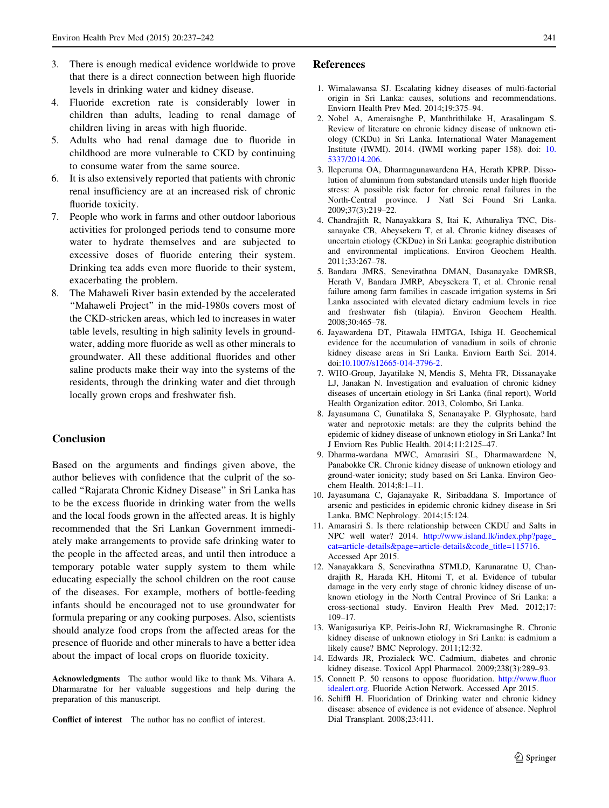- <span id="page-4-0"></span>3. There is enough medical evidence worldwide to prove that there is a direct connection between high fluoride levels in drinking water and kidney disease.
- 4. Fluoride excretion rate is considerably lower in children than adults, leading to renal damage of children living in areas with high fluoride.
- 5. Adults who had renal damage due to fluoride in childhood are more vulnerable to CKD by continuing to consume water from the same source.
- 6. It is also extensively reported that patients with chronic renal insufficiency are at an increased risk of chronic fluoride toxicity.
- 7. People who work in farms and other outdoor laborious activities for prolonged periods tend to consume more water to hydrate themselves and are subjected to excessive doses of fluoride entering their system. Drinking tea adds even more fluoride to their system, exacerbating the problem.
- 8. The Mahaweli River basin extended by the accelerated ''Mahaweli Project'' in the mid-1980s covers most of the CKD-stricken areas, which led to increases in water table levels, resulting in high salinity levels in groundwater, adding more fluoride as well as other minerals to groundwater. All these additional fluorides and other saline products make their way into the systems of the residents, through the drinking water and diet through locally grown crops and freshwater fish.

## Conclusion

Based on the arguments and findings given above, the author believes with confidence that the culprit of the socalled ''Rajarata Chronic Kidney Disease'' in Sri Lanka has to be the excess fluoride in drinking water from the wells and the local foods grown in the affected areas. It is highly recommended that the Sri Lankan Government immediately make arrangements to provide safe drinking water to the people in the affected areas, and until then introduce a temporary potable water supply system to them while educating especially the school children on the root cause of the diseases. For example, mothers of bottle-feeding infants should be encouraged not to use groundwater for formula preparing or any cooking purposes. Also, scientists should analyze food crops from the affected areas for the presence of fluoride and other minerals to have a better idea about the impact of local crops on fluoride toxicity.

Acknowledgments The author would like to thank Ms. Vihara A. Dharmaratne for her valuable suggestions and help during the preparation of this manuscript.

Conflict of interest The author has no conflict of interest.

#### References

- 1. Wimalawansa SJ. Escalating kidney diseases of multi-factorial origin in Sri Lanka: causes, solutions and recommendations. Enviorn Health Prev Med. 2014;19:375–94.
- 2. Nobel A, Ameraisnghe P, Manthrithilake H, Arasalingam S. Review of literature on chronic kidney disease of unknown etiology (CKDu) in Sri Lanka. International Water Management Institute (IWMI). 2014. (IWMI working paper 158). doi: [10.](http://dx.doi.org/10.5337/2014.206) [5337/2014.206.](http://dx.doi.org/10.5337/2014.206)
- 3. Ileperuma OA, Dharmagunawardena HA, Herath KPRP. Dissolution of aluminum from substandard utensils under high fluoride stress: A possible risk factor for chronic renal failures in the North-Central province. J Natl Sci Found Sri Lanka. 2009;37(3):219–22.
- 4. Chandrajith R, Nanayakkara S, Itai K, Athuraliya TNC, Dissanayake CB, Abeysekera T, et al. Chronic kidney diseases of uncertain etiology (CKDue) in Sri Lanka: geographic distribution and environmental implications. Environ Geochem Health. 2011;33:267–78.
- 5. Bandara JMRS, Senevirathna DMAN, Dasanayake DMRSB, Herath V, Bandara JMRP, Abeysekera T, et al. Chronic renal failure among farm families in cascade irrigation systems in Sri Lanka associated with elevated dietary cadmium levels in rice and freshwater fish (tilapia). Environ Geochem Health. 2008;30:465–78.
- 6. Jayawardena DT, Pitawala HMTGA, Ishiga H. Geochemical evidence for the accumulation of vanadium in soils of chronic kidney disease areas in Sri Lanka. Enviorn Earth Sci. 2014. doi:[10.1007/s12665-014-3796-2.](http://dx.doi.org/10.1007/s12665-014-3796-2)
- 7. WHO-Group, Jayatilake N, Mendis S, Mehta FR, Dissanayake LJ, Janakan N. Investigation and evaluation of chronic kidney diseases of uncertain etiology in Sri Lanka (final report), World Health Organization editor. 2013, Colombo, Sri Lanka.
- 8. Jayasumana C, Gunatilaka S, Senanayake P. Glyphosate, hard water and neprotoxic metals: are they the culprits behind the epidemic of kidney disease of unknown etiology in Sri Lanka? Int J Enviorn Res Public Health. 2014;11:2125–47.
- 9. Dharma-wardana MWC, Amarasiri SL, Dharmawardene N, Panabokke CR. Chronic kidney disease of unknown etiology and ground-water ionicity; study based on Sri Lanka. Environ Geochem Health. 2014;8:1–11.
- 10. Jayasumana C, Gajanayake R, Siribaddana S. Importance of arsenic and pesticides in epidemic chronic kidney disease in Sri Lanka. BMC Nephrology. 2014;15:124.
- 11. Amarasiri S. Is there relationship between CKDU and Salts in NPC well water? 2014. [http://www.island.lk/index.php?page\\_](http://www.island.lk/index.php?page_cat=article-details&page=article-details&code_title=115716) [cat=article-details&page=article-details&code\\_title=115716](http://www.island.lk/index.php?page_cat=article-details&page=article-details&code_title=115716). Accessed Apr 2015.
- 12. Nanayakkara S, Senevirathna STMLD, Karunaratne U, Chandrajith R, Harada KH, Hitomi T, et al. Evidence of tubular damage in the very early stage of chronic kidney disease of unknown etiology in the North Central Province of Sri Lanka: a cross-sectional study. Environ Health Prev Med. 2012;17: 109–17.
- 13. Wanigasuriya KP, Peiris-John RJ, Wickramasinghe R. Chronic kidney disease of unknown etiology in Sri Lanka: is cadmium a likely cause? BMC Neprology. 2011;12:32.
- 14. Edwards JR, Prozialeck WC. Cadmium, diabetes and chronic kidney disease. Toxicol Appl Pharmacol. 2009;238(3):289–93.
- 15. Connett P. 50 reasons to oppose fluoridation. [http://www.fluor](http://www.fluoridealert.org) [idealert.org.](http://www.fluoridealert.org) Fluoride Action Network. Accessed Apr 2015.
- 16. Schiffl H. Fluoridation of Drinking water and chronic kidney disease: absence of evidence is not evidence of absence. Nephrol Dial Transplant. 2008;23:411.